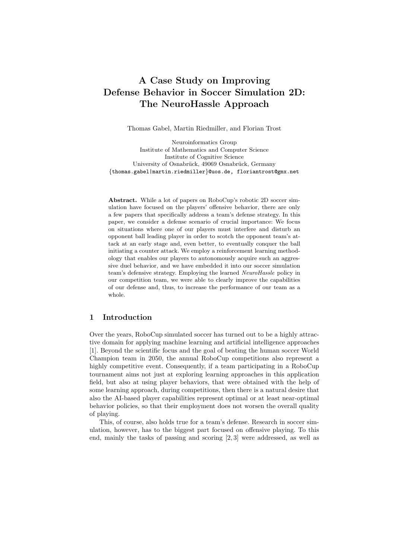# A Case Study on Improving Defense Behavior in Soccer Simulation 2D: The NeuroHassle Approach

Thomas Gabel, Martin Riedmiller, and Florian Trost

Neuroinformatics Group Institute of Mathematics and Computer Science Institute of Cognitive Science University of Osnabrück, 49069 Osnabrück, Germany {thomas.gabel|martin.riedmiller}@uos.de, floriantrost@gmx.net

Abstract. While a lot of papers on RoboCup's robotic 2D soccer simulation have focused on the players' offensive behavior, there are only a few papers that specifically address a team's defense strategy. In this paper, we consider a defense scenario of crucial importance: We focus on situations where one of our players must interfere and disturb an opponent ball leading player in order to scotch the opponent team's attack at an early stage and, even better, to eventually conquer the ball initiating a counter attack. We employ a reinforcement learning methodology that enables our players to autonomously acquire such an aggressive duel behavior, and we have embedded it into our soccer simulation team's defensive strategy. Employing the learned NeuroHassle policy in our competition team, we were able to clearly improve the capabilities of our defense and, thus, to increase the performance of our team as a whole.

# 1 Introduction

Over the years, RoboCup simulated soccer has turned out to be a highly attractive domain for applying machine learning and artificial intelligence approaches [1]. Beyond the scientific focus and the goal of beating the human soccer World Champion team in 2050, the annual RoboCup competitions also represent a highly competitive event. Consequently, if a team participating in a RoboCup tournament aims not just at exploring learning approaches in this application field, but also at using player behaviors, that were obtained with the help of some learning approach, during competitions, then there is a natural desire that also the AI-based player capabilities represent optimal or at least near-optimal behavior policies, so that their employment does not worsen the overall quality of playing.

This, of course, also holds true for a team's defense. Research in soccer simulation, however, has to the biggest part focused on offensive playing. To this end, mainly the tasks of passing and scoring [2, 3] were addressed, as well as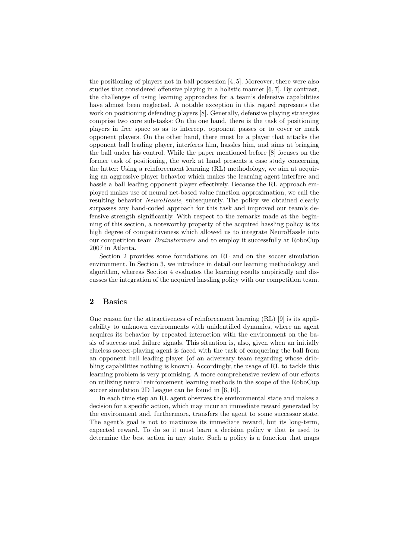the positioning of players not in ball possession [4, 5]. Moreover, there were also studies that considered offensive playing in a holistic manner  $[6, 7]$ . By contrast, the challenges of using learning approaches for a team's defensive capabilities have almost been neglected. A notable exception in this regard represents the work on positioning defending players [8]. Generally, defensive playing strategies comprise two core sub-tasks: On the one hand, there is the task of positioning players in free space so as to intercept opponent passes or to cover or mark opponent players. On the other hand, there must be a player that attacks the opponent ball leading player, interferes him, hassles him, and aims at bringing the ball under his control. While the paper mentioned before [8] focuses on the former task of positioning, the work at hand presents a case study concerning the latter: Using a reinforcement learning (RL) methodology, we aim at acquiring an aggressive player behavior which makes the learning agent interfere and hassle a ball leading opponent player effectively. Because the RL approach employed makes use of neural net-based value function approximation, we call the resulting behavior *NeuroHassle*, subsequently. The policy we obtained clearly surpasses any hand-coded approach for this task and improved our team's defensive strength significantly. With respect to the remarks made at the beginning of this section, a noteworthy property of the acquired hassling policy is its high degree of competitiveness which allowed us to integrate NeuroHassle into our competition team Brainstormers and to employ it successfully at RoboCup 2007 in Atlanta.

Section 2 provides some foundations on RL and on the soccer simulation environment. In Section 3, we introduce in detail our learning methodology and algorithm, whereas Section 4 evaluates the learning results empirically and discusses the integration of the acquired hassling policy with our competition team.

# 2 Basics

One reason for the attractiveness of reinforcement learning (RL) [9] is its applicability to unknown environments with unidentified dynamics, where an agent acquires its behavior by repeated interaction with the environment on the basis of success and failure signals. This situation is, also, given when an initially clueless soccer-playing agent is faced with the task of conquering the ball from an opponent ball leading player (of an adversary team regarding whose dribbling capabilities nothing is known). Accordingly, the usage of RL to tackle this learning problem is very promising. A more comprehensive review of our efforts on utilizing neural reinforcement learning methods in the scope of the RoboCup soccer simulation 2D League can be found in  $[6, 10]$ .

In each time step an RL agent observes the environmental state and makes a decision for a specific action, which may incur an immediate reward generated by the environment and, furthermore, transfers the agent to some successor state. The agent's goal is not to maximize its immediate reward, but its long-term, expected reward. To do so it must learn a decision policy  $\pi$  that is used to determine the best action in any state. Such a policy is a function that maps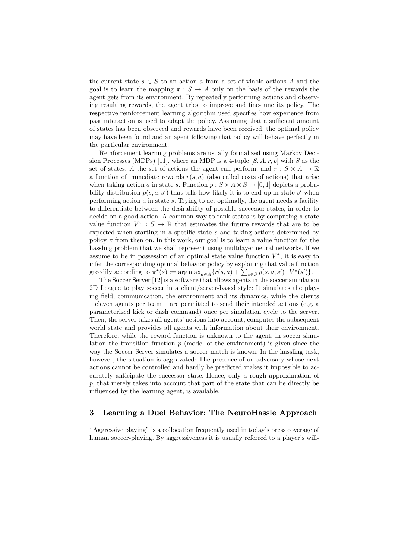the current state  $s \in S$  to an action a from a set of viable actions A and the goal is to learn the mapping  $\pi : S \to A$  only on the basis of the rewards the agent gets from its environment. By repeatedly performing actions and observing resulting rewards, the agent tries to improve and fine-tune its policy. The respective reinforcement learning algorithm used specifies how experience from past interaction is used to adapt the policy. Assuming that a sufficient amount of states has been observed and rewards have been received, the optimal policy may have been found and an agent following that policy will behave perfectly in the particular environment.

Reinforcement learning problems are usually formalized using Markov Decision Processes (MDPs) [11], where an MDP is a 4-tuple  $[S, A, r, p]$  with S as the set of states, A the set of actions the agent can perform, and  $r : S \times A \rightarrow \mathbb{R}$ a function of immediate rewards  $r(s, a)$  (also called costs of actions) that arise when taking action a in state s. Function  $p : S \times A \times S \rightarrow [0, 1]$  depicts a probability distribution  $p(s, a, s')$  that tells how likely it is to end up in state s' when performing action  $a$  in state  $s$ . Trying to act optimally, the agent needs a facility to differentiate between the desirability of possible successor states, in order to decide on a good action. A common way to rank states is by computing a state value function  $V^{\pi}: S \to \mathbb{R}$  that estimates the future rewards that are to be expected when starting in a specific state s and taking actions determined by policy  $\pi$  from then on. In this work, our goal is to learn a value function for the hassling problem that we shall represent using multilayer neural networks. If we assume to be in possession of an optimal state value function  $V^*$ , it is easy to infer the corresponding optimal behavior policy by exploiting that value function greedily according to  $\pi^*(s) := \arg \max_{a \in A} \{r(s, a) + \sum_{s \in S} p(s, a, s') \cdot V^*(s')\}.$ 

The Soccer Server [12] is a software that allows agents in the soccer simulation 2D League to play soccer in a client/server-based style: It simulates the playing field, communication, the environment and its dynamics, while the clients – eleven agents per team – are permitted to send their intended actions (e.g. a parameterized kick or dash command) once per simulation cycle to the server. Then, the server takes all agents' actions into account, computes the subsequent world state and provides all agents with information about their environment. Therefore, while the reward function is unknown to the agent, in soccer simulation the transition function  $p \pmod{p}$  (model of the environment) is given since the way the Soccer Server simulates a soccer match is known. In the hassling task, however, the situation is aggravated: The presence of an adversary whose next actions cannot be controlled and hardly be predicted makes it impossible to accurately anticipate the successor state. Hence, only a rough approximation of p, that merely takes into account that part of the state that can be directly be influenced by the learning agent, is available.

# 3 Learning a Duel Behavior: The NeuroHassle Approach

"Aggressive playing" is a collocation frequently used in today's press coverage of human soccer-playing. By aggressiveness it is usually referred to a player's will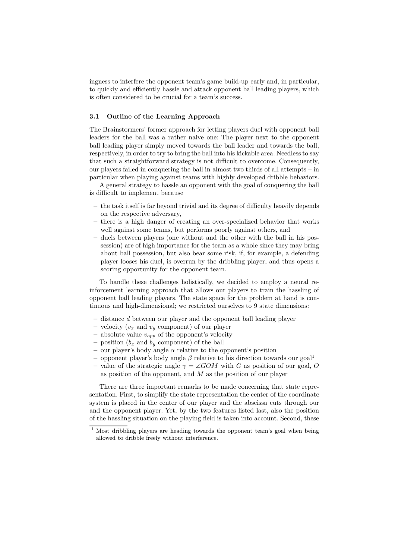ingness to interfere the opponent team's game build-up early and, in particular, to quickly and efficiently hassle and attack opponent ball leading players, which is often considered to be crucial for a team's success.

## 3.1 Outline of the Learning Approach

The Brainstormers' former approach for letting players duel with opponent ball leaders for the ball was a rather naive one: The player next to the opponent ball leading player simply moved towards the ball leader and towards the ball, respectively, in order to try to bring the ball into his kickable area. Needless to say that such a straightforward strategy is not difficult to overcome. Consequently, our players failed in conquering the ball in almost two thirds of all attempts – in particular when playing against teams with highly developed dribble behaviors.

A general strategy to hassle an opponent with the goal of conquering the ball is difficult to implement because

- the task itself is far beyond trivial and its degree of difficulty heavily depends on the respective adversary,
- there is a high danger of creating an over-specialized behavior that works well against some teams, but performs poorly against others, and
- duels between players (one without and the other with the ball in his possession) are of high importance for the team as a whole since they may bring about ball possession, but also bear some risk, if, for example, a defending player looses his duel, is overrun by the dribbling player, and thus opens a scoring opportunity for the opponent team.

To handle these challenges holistically, we decided to employ a neural reinforcement learning approach that allows our players to train the hassling of opponent ball leading players. The state space for the problem at hand is continuous and high-dimensional; we restricted ourselves to 9 state dimensions:

- $-$  distance  $d$  between our player and the opponent ball leading player
- velocity  $(v_x$  and  $v_y$  component) of our player
- absolute value  $v_{opp}$  of the opponent's velocity
- position  $(b_x \text{ and } b_y \text{ component})$  of the ball
- our player's body angle  $\alpha$  relative to the opponent's position
- opponent player's body angle  $\beta$  relative to his direction towards our goal<sup>1</sup>
- value of the strategic angle  $\gamma = \angle GOM$  with G as position of our goal, O as position of the opponent, and  $M$  as the position of our player

There are three important remarks to be made concerning that state representation. First, to simplify the state representation the center of the coordinate system is placed in the center of our player and the abscissa cuts through our and the opponent player. Yet, by the two features listed last, also the position of the hassling situation on the playing field is taken into account. Second, these

<sup>1</sup> Most dribbling players are heading towards the opponent team's goal when being allowed to dribble freely without interference.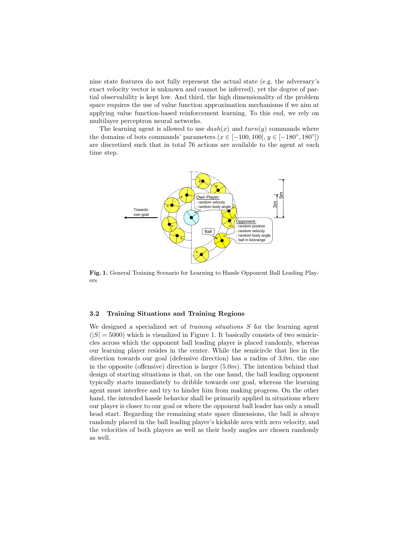nine state features do not fully represent the actual state (e.g. the adversary's exact velocity vector is unknown and cannot be inferred), yet the degree of partial observability is kept low. And third, the high dimensionality of the problem space requires the use of value function approximation mechanisms if we aim at applying value function-based reinforcement learning. To this end, we rely on multilayer perceptron neural networks.

The learning agent is allowed to use  $dash(x)$  and  $turn(y)$  commands where the domains of bots commands' parameters  $(x \in [-100, 100], y \in [-180^{\circ}, 180^{\circ}])$ are discretized such that in total 76 actions are available to the agent at each time step.



Fig. 1. General Training Scenario for Learning to Hassle Opponent Ball Leading Players

## 3.2 Training Situations and Training Regions

We designed a specialized set of *training situations*  $S$  for the learning agent  $(|S| = 5000)$  which is visualized in Figure 1. It basically consists of two semicircles across which the opponent ball leading player is placed randomly, whereas our learning player resides in the center. While the semicircle that lies in the direction towards our goal (defensive direction) has a radius of 3.0m, the one in the opposite (offensive) direction is larger  $(5.0m)$ . The intention behind that design of starting situations is that, on the one hand, the ball leading opponent typically starts immediately to dribble towards our goal, whereas the learning agent must interfere and try to hinder him from making progress. On the other hand, the intended hassle behavior shall be primarily applied in situations where our player is closer to our goal or where the opponent ball leader has only a small head start. Regarding the remaining state space dimensions, the ball is always randomly placed in the ball leading player's kickable area with zero velocity, and the velocities of both players as well as their body angles are chosen randomly as well.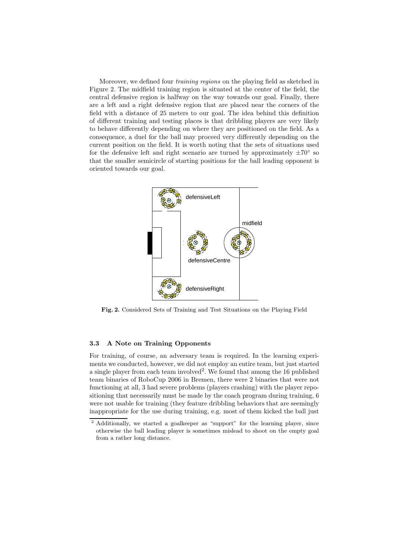Moreover, we defined four training regions on the playing field as sketched in Figure 2. The midfield training region is situated at the center of the field, the central defensive region is halfway on the way towards our goal. Finally, there are a left and a right defensive region that are placed near the corners of the field with a distance of 25 meters to our goal. The idea behind this definition of different training and testing places is that dribbling players are very likely to behave differently depending on where they are positioned on the field. As a consequence, a duel for the ball may proceed very differently depending on the current position on the field. It is worth noting that the sets of situations used for the defensive left and right scenario are turned by approximately  $\pm 70^{\circ}$  so that the smaller semicircle of starting positions for the ball leading opponent is oriented towards our goal.



Fig. 2. Considered Sets of Training and Test Situations on the Playing Field

## 3.3 A Note on Training Opponents

For training, of course, an adversary team is required. In the learning experiments we conducted, however, we did not employ an entire team, but just started a single player from each team involved<sup>2</sup>. We found that among the  $16$  published team binaries of RoboCup 2006 in Bremen, there were 2 binaries that were not functioning at all, 3 had severe problems (players crashing) with the player repositioning that necessarily must be made by the coach program during training, 6 were not usable for training (they feature dribbling behaviors that are seemingly inappropriate for the use during training, e.g. most of them kicked the ball just

<sup>&</sup>lt;sup>2</sup> Additionally, we started a goalkeeper as "support" for the learning player, since otherwise the ball leading player is sometimes mislead to shoot on the empty goal from a rather long distance.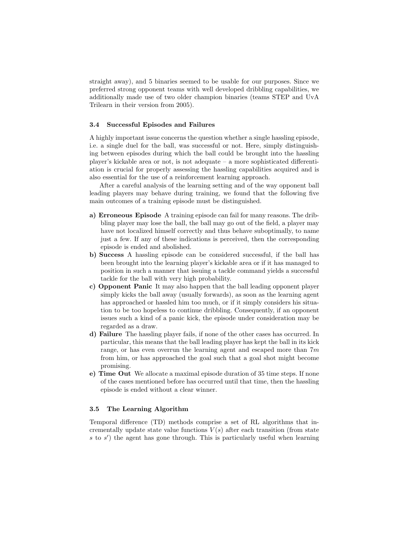straight away), and 5 binaries seemed to be usable for our purposes. Since we preferred strong opponent teams with well developed dribbling capabilities, we additionally made use of two older champion binaries (teams STEP and UvA Trilearn in their version from 2005).

## 3.4 Successful Episodes and Failures

A highly important issue concerns the question whether a single hassling episode, i.e. a single duel for the ball, was successful or not. Here, simply distinguishing between episodes during which the ball could be brought into the hassling player's kickable area or not, is not adequate – a more sophisticated differentiation is crucial for properly assessing the hassling capabilities acquired and is also essential for the use of a reinforcement learning approach.

After a careful analysis of the learning setting and of the way opponent ball leading players may behave during training, we found that the following five main outcomes of a training episode must be distinguished.

- a) Erroneous Episode A training episode can fail for many reasons. The dribbling player may lose the ball, the ball may go out of the field, a player may have not localized himself correctly and thus behave suboptimally, to name just a few. If any of these indications is perceived, then the corresponding episode is ended and abolished.
- b) Success A hassling episode can be considered successful, if the ball has been brought into the learning player's kickable area or if it has managed to position in such a manner that issuing a tackle command yields a successful tackle for the ball with very high probability.
- c) Opponent Panic It may also happen that the ball leading opponent player simply kicks the ball away (usually forwards), as soon as the learning agent has approached or hassled him too much, or if it simply considers his situation to be too hopeless to continue dribbling. Consequently, if an opponent issues such a kind of a panic kick, the episode under consideration may be regarded as a draw.
- d) Failure The hassling player fails, if none of the other cases has occurred. In particular, this means that the ball leading player has kept the ball in its kick range, or has even overrun the learning agent and escaped more than  $7m$ from him, or has approached the goal such that a goal shot might become promising.
- e) Time Out We allocate a maximal episode duration of 35 time steps. If none of the cases mentioned before has occurred until that time, then the hassling episode is ended without a clear winner.

## 3.5 The Learning Algorithm

Temporal difference (TD) methods comprise a set of RL algorithms that incrementally update state value functions  $V(s)$  after each transition (from state s to s') the agent has gone through. This is particularly useful when learning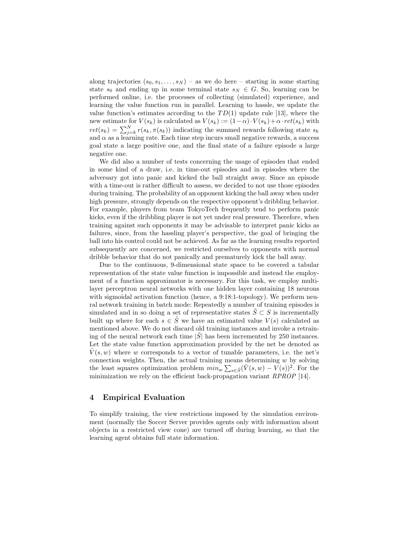along trajectories  $(s_0, s_1, \ldots, s_N)$  – as we do here – starting in some starting state  $s_0$  and ending up in some terminal state  $s_N \in G$ . So, learning can be performed online, i.e. the processes of collecting (simulated) experience, and learning the value function run in parallel. Learning to hassle, we update the value function's estimates according to the  $TD(1)$  update rule [13], where the new estimate for  $V(s_k)$  is calculated as  $V(s_k) := (1-\alpha) \cdot V(s_k) + \alpha \cdot ret(s_k)$  with  $ret(s_k) = \sum_{j=k}^{N} r(s_k, \pi(s_k))$  indicating the summed rewards following state  $s_k$ and  $\alpha$  as a learning rate. Each time step incurs small negative rewards, a success goal state a large positive one, and the final state of a failure episode a large negative one.

We did also a number of tests concerning the usage of episodes that ended in some kind of a draw, i.e. in time-out episodes and in episodes where the adversary got into panic and kicked the ball straight away. Since an episode with a time-out is rather difficult to assess, we decided to not use those episodes during training. The probability of an opponent kicking the ball away when under high pressure, strongly depends on the respective opponent's dribbling behavior. For example, players from team TokyoTech frequently tend to perform panic kicks, even if the dribbling player is not yet under real pressure. Therefore, when training against such opponents it may be advisable to interpret panic kicks as failures, since, from the hassling player's perspective, the goal of bringing the ball into his control could not be achieved. As far as the learning results reported subsequently are concerned, we restricted ourselves to opponents with normal dribble behavior that do not panically and prematurely kick the ball away.

Due to the continuous, 9-dimensional state space to be covered a tabular representation of the state value function is impossible and instead the employment of a function approximator is necessary. For this task, we employ multilayer perceptron neural networks with one hidden layer containing 18 neurons with sigmoidal activation function (hence, a 9:18:1-topology). We perform neural network training in batch mode: Repeatedly a number of training episodes is simulated and in so doing a set of representative states  $\tilde{S} \subset S$  is incrementally built up where for each  $s \in \tilde{S}$  we have an estimated value  $V(s)$  calculated as mentioned above. We do not discard old training instances and invoke a retraining of the neural network each time  $|\tilde{S}|$  has been incremented by 250 instances. Let the state value function approximation provided by the net be denoted as  $\tilde{V}(s, w)$  where w corresponds to a vector of tunable parameters, i.e. the net's connection weights. Then, the actual training means determining  $w$  by solving the least squares optimization problem  $min_w \sum_{s \in \tilde{S}} (\tilde{V}(s, w) - \tilde{V}(s))^2$ . For the minimization we rely on the efficient back-propagation variant RPROP [14].

## 4 Empirical Evaluation

To simplify training, the view restrictions imposed by the simulation environment (normally the Soccer Server provides agents only with information about objects in a restricted view cone) are turned off during learning, so that the learning agent obtains full state information.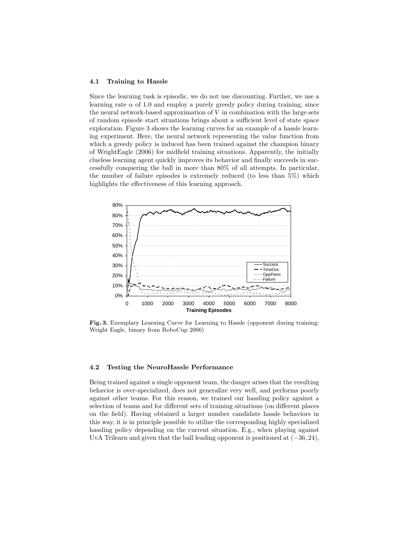#### 4.1 Training to Hassle

Since the learning task is episodic, we do not use discounting. Further, we use a learning rate  $\alpha$  of 1.0 and employ a purely greedy policy during training, since the neural network-based approximation of  $V$  in combination with the large sets of random episode start situations brings about a sufficient level of state space exploration. Figure 3 shows the learning curves for an example of a hassle learning experiment. Here, the neural network representing the value function from which a greedy policy is induced has been trained against the champion binary of WrightEagle (2006) for midfield training situations. Apparently, the initially clueless learning agent quickly improves its behavior and finally succeeds in successfully conquering the ball in more than 80% of all attempts. In particular, the number of failure episodes is extremely reduced (to less than 5%) which highlights the effectiveness of this learning approach.



Fig. 3. Exemplary Learning Curve for Learning to Hassle (opponent during training: Wright Eagle, binary from RoboCup 2006)

#### 4.2 Testing the NeuroHassle Performance

Being trained against a single opponent team, the danger arises that the resulting behavior is over-specialized, does not generalize very well, and performs poorly against other teams. For this reason, we trained our hassling policy against a selection of teams and for different sets of training situations (on different places on the field). Having obtained a larger number candidate hassle behaviors in this way, it is in principle possible to utilize the corresponding highly specialized hassling policy depending on the current situation. E.g., when playing against UvA Trilearn and given that the ball leading opponent is positioned at  $(-36, 24)$ ,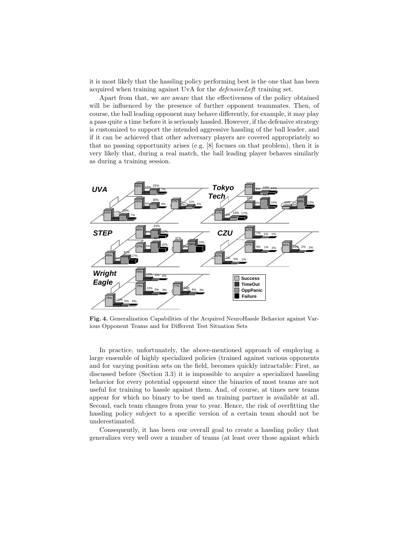it is most likely that the hassling policy performing best is the one that has been acquired when training against UvA for the defensiveLeft training set.

Apart from that, we are aware that the effectiveness of the policy obtained will be influenced by the presence of further opponent teammates. Then, of course, the ball leading opponent may behave differently, for example, it may play a pass quite a time before it is seriously hassled. However, if the defensive strategy is customized to support the intended aggressive hassling of the ball leader, and if it can be achieved that other adversary players are covered appropriately so that no passing opportunity arises (e.g. [8] focuses on that problem), then it is very likely that, during a real match, the ball leading player behaves similarly as during a training session.



Fig. 4. Generalization Capabilities of the Acquired NeuroHassle Behavior against Various Opponent Teams and for Different Test Situation Sets

In practice, unfortunately, the above-mentioned approach of employing a large ensemble of highly specialized policies (trained against various opponents and for varying position sets on the field, becomes quickly intractable: First, as discussed before (Section 3.3) it is impossible to acquire a specialized hassling behavior for every potential opponent since the binaries of most teams are not useful for training to hassle against them. And, of course, at times new teams appear for which no binary to be used as training partner is available at all. Second, each team changes from year to year. Hence, the risk of overfitting the hassling policy subject to a specific version of a certain team should not be underestimated.

Consequently, it has been our overall goal to create a hassling policy that generalizes very well over a number of teams (at least over those against which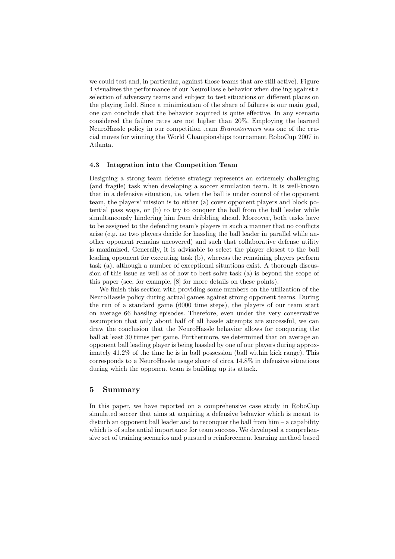we could test and, in particular, against those teams that are still active). Figure 4 visualizes the performance of our NeuroHassle behavior when dueling against a selection of adversary teams and subject to test situations on different places on the playing field. Since a minimization of the share of failures is our main goal, one can conclude that the behavior acquired is quite effective. In any scenario considered the failure rates are not higher than 20%. Employing the learned NeuroHassle policy in our competition team Brainstormers was one of the crucial moves for winning the World Championships tournament RoboCup 2007 in Atlanta.

## 4.3 Integration into the Competition Team

Designing a strong team defense strategy represents an extremely challenging (and fragile) task when developing a soccer simulation team. It is well-known that in a defensive situation, i.e. when the ball is under control of the opponent team, the players' mission is to either (a) cover opponent players and block potential pass ways, or (b) to try to conquer the ball from the ball leader while simultaneously hindering him from dribbling ahead. Moreover, both tasks have to be assigned to the defending team's players in such a manner that no conflicts arise (e.g. no two players decide for hassling the ball leader in parallel while another opponent remains uncovered) and such that collaborative defense utility is maximized. Generally, it is advisable to select the player closest to the ball leading opponent for executing task (b), whereas the remaining players perform task (a), although a number of exceptional situations exist. A thorough discussion of this issue as well as of how to best solve task (a) is beyond the scope of this paper (see, for example, [8] for more details on these points).

We finish this section with providing some numbers on the utilization of the NeuroHassle policy during actual games against strong opponent teams. During the run of a standard game (6000 time steps), the players of our team start on average 66 hassling episodes. Therefore, even under the very conservative assumption that only about half of all hassle attempts are successful, we can draw the conclusion that the NeuroHassle behavior allows for conquering the ball at least 30 times per game. Furthermore, we determined that on average an opponent ball leading player is being hassled by one of our players during approximately 41.2% of the time he is in ball possession (ball within kick range). This corresponds to a NeuroHassle usage share of circa 14.8% in defensive situations during which the opponent team is building up its attack.

# 5 Summary

In this paper, we have reported on a comprehensive case study in RoboCup simulated soccer that aims at acquiring a defensive behavior which is meant to disturb an opponent ball leader and to reconquer the ball from  $\lim -a$  capability which is of substantial importance for team success. We developed a comprehensive set of training scenarios and pursued a reinforcement learning method based